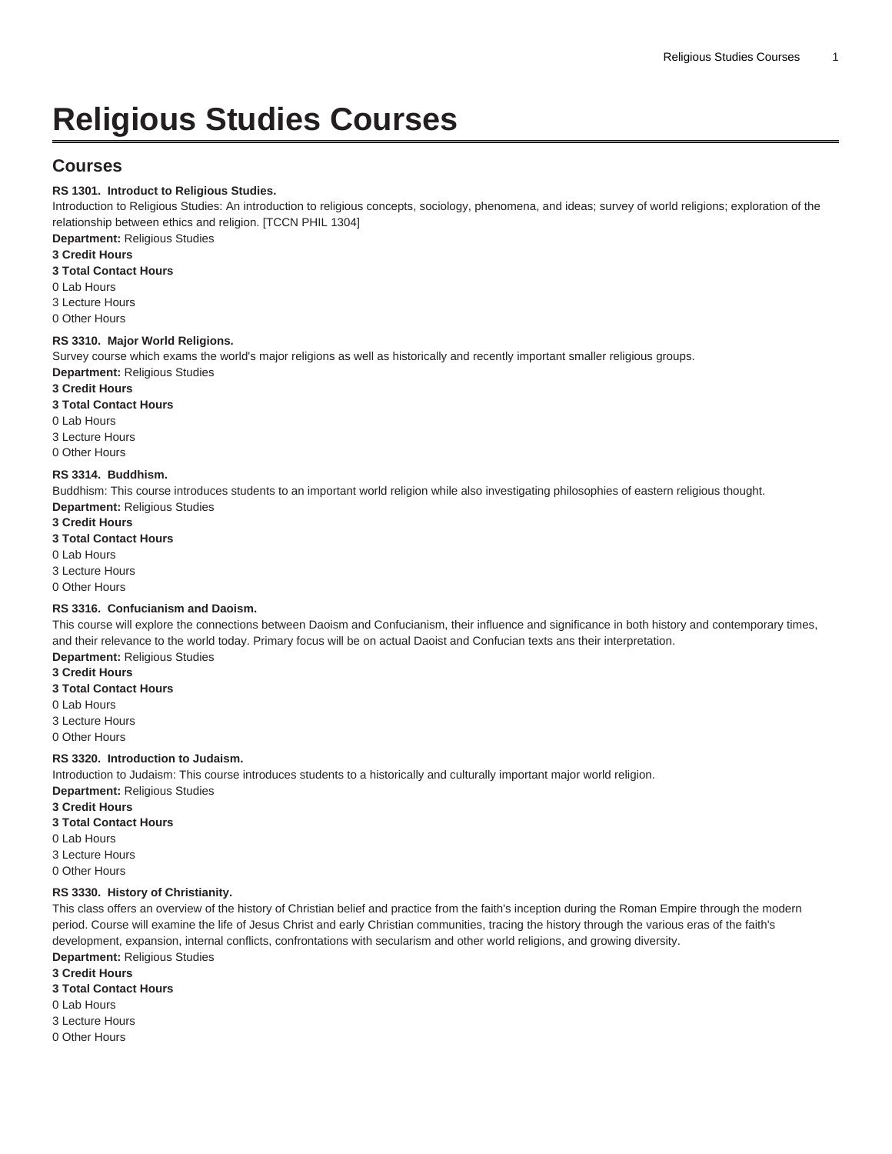# **Religious Studies Courses**

# **Courses**

#### **RS 1301. Introduct to Religious Studies.**

Introduction to Religious Studies: An introduction to religious concepts, sociology, phenomena, and ideas; survey of world religions; exploration of the relationship between ethics and religion. [TCCN [PHIL 1304\]](/search/?P=PHIL%201304)

**Department:** Religious Studies

## **3 Credit Hours**

**3 Total Contact Hours**

0 Lab Hours

3 Lecture Hours

0 Other Hours

#### **RS 3310. Major World Religions.**

Survey course which exams the world's major religions as well as historically and recently important smaller religious groups.

**Department:** Religious Studies

**3 Credit Hours**

**3 Total Contact Hours**

0 Lab Hours

3 Lecture Hours 0 Other Hours

# **RS 3314. Buddhism.**

Buddhism: This course introduces students to an important world religion while also investigating philosophies of eastern religious thought. **Department:** Religious Studies

#### **3 Credit Hours**

#### **3 Total Contact Hours**

0 Lab Hours

3 Lecture Hours

0 Other Hours

#### **RS 3316. Confucianism and Daoism.**

This course will explore the connections between Daoism and Confucianism, their influence and significance in both history and contemporary times, and their relevance to the world today. Primary focus will be on actual Daoist and Confucian texts ans their interpretation.

**Department:** Religious Studies

**3 Credit Hours 3 Total Contact Hours**

0 Lab Hours

3 Lecture Hours

0 Other Hours

#### **RS 3320. Introduction to Judaism.**

Introduction to Judaism: This course introduces students to a historically and culturally important major world religion. **Department:** Religious Studies

### **3 Credit Hours**

**3 Total Contact Hours**

0 Lab Hours

3 Lecture Hours

0 Other Hours

#### **RS 3330. History of Christianity.**

This class offers an overview of the history of Christian belief and practice from the faith's inception during the Roman Empire through the modern period. Course will examine the life of Jesus Christ and early Christian communities, tracing the history through the various eras of the faith's development, expansion, internal conflicts, confrontations with secularism and other world religions, and growing diversity. **Department:** Religious Studies

**3 Credit Hours**

- **3 Total Contact Hours**
- 0 Lab Hours
- 3 Lecture Hours
- 0 Other Hours